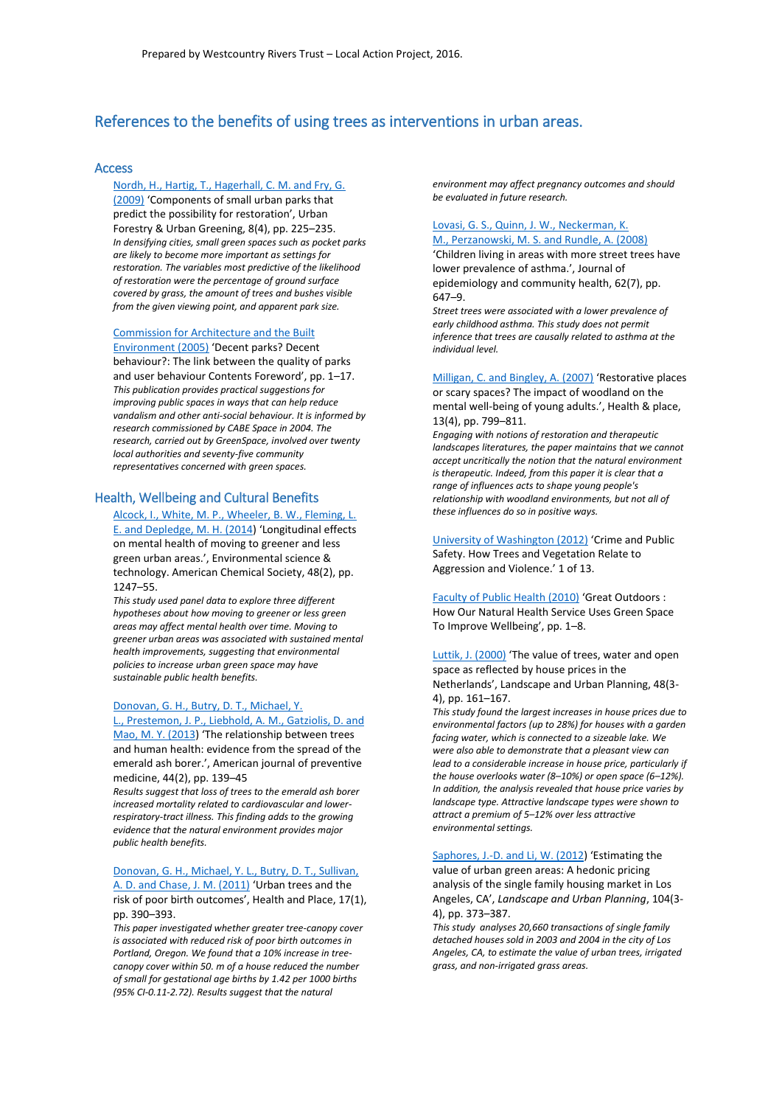# References to the benefits of using trees as interventions in urban areas.

### Access

### Nordh, H., Hartig, T., [Hagerhall, C. M. and Fry, G.](http://www.sciencedirect.com/science/article/pii/S1618866709000351)

[\(2009\)](http://www.sciencedirect.com/science/article/pii/S1618866709000351) 'Components of small urban parks that predict the possibility for restoration', Urban Forestry & Urban Greening, 8(4), pp. 225–235. *In densifying cities, small green spaces such as pocket parks are likely to become more important as settings for restoration. The variables most predictive of the likelihood of restoration were the percentage of ground surface covered by grass, the amount of trees and bushes visible from the given viewing point, and apparent park size.* 

[Commission for Architecture and the Built](http://www.cabespace.org.uk/) 

[Environment \(2005\)](http://www.cabespace.org.uk/) 'Decent parks? Decent behaviour?: The link between the quality of parks and user behaviour Contents Foreword', pp. 1–17. *This publication provides practical suggestions for improving public spaces in ways that can help reduce vandalism and other anti-social behaviour. It is informed by research commissioned by CABE Space in 2004. The research, carried out by GreenSpace, involved over twenty local authorities and seventy-five community representatives concerned with green spaces.*

### Health, Wellbeing and Cultural Benefits

[Alcock, I., White, M. P., Wheeler, B. W., Fleming, L.](http://dx.doi.org/10.1021/es403688w)  E. and [Depledge, M. H. \(2014](http://dx.doi.org/10.1021/es403688w)) 'Longitudinal effects on mental health of moving to greener and less green urban areas.', Environmental science & technology. American Chemical Society, 48(2), pp. 1247–55.

*This study used panel data to explore three different hypotheses about how moving to greener or less green areas may affect mental health over time. Moving to greener urban areas was associated with sustained mental health improvements, suggesting that environmental policies to increase urban green space may have sustainable public health benefits.*

### Donovan, G. H., [Butry, D. T., Michael, Y.](http://www.sciencedirect.com/science/article/pii/S0749379712008045)  L., Prestemon, J. P., Liebhold, A. M., [Gatziolis, D. and](http://www.sciencedirect.com/science/article/pii/S0749379712008045)

[Mao, M. Y. \(2013](http://www.sciencedirect.com/science/article/pii/S0749379712008045)) 'The relationship between trees and human health: evidence from the spread of the emerald ash borer.', American journal of preventive medicine, 44(2), pp. 139–45

*Results suggest that loss of trees to the emerald ash borer increased mortality related to cardiovascular and lowerrespiratory-tract illness. This finding adds to the growing evidence that the natural environment provides major public health benefits.*

[Donovan, G. H., Michael, Y. L.,](http://www.ncbi.nlm.nih.gov/pubmed/21106432) Butry, D. T., Sullivan, [A. D. and Chase, J. M. \(2011\)](http://www.ncbi.nlm.nih.gov/pubmed/21106432) 'Urban trees and the

risk of poor birth outcomes', Health and Place, 17(1), pp. 390–393.

*This paper investigated whether greater tree-canopy cover is associated with reduced risk of poor birth outcomes in Portland, Oregon. We found that a 10% increase in treecanopy cover within 50. m of a house reduced the number of small for gestational age births by 1.42 per 1000 births (95% CI-0.11-2.72). Results suggest that the natural* 

*environment may affect pregnancy outcomes and should be evaluated in future research.* 

#### [Lovasi, G. S., Quinn, J. W.,](http://jech.bmj.com/content/early/2008/05/01/jech.2007.071894.abstract) Neckerman, K. M., [Perzanowski, M. S. and Rundle, A. \(2008\)](http://jech.bmj.com/content/early/2008/05/01/jech.2007.071894.abstract)

'Children living in areas with more street trees have lower prevalence of asthma.', Journal of epidemiology and community health, 62(7), pp. 647–9.

*Street trees were associated with a lower prevalence of early childhood asthma. This study does not permit inference that trees are causally related to asthma at the individual level.*

[Milligan, C. and Bingley, A. \(2007\)](https://www.researchgate.net/publication/6423465_Resorative_places_or_scary_spaces_The_impact_of_woodland_on_the_mental_health_of_young_adults) 'Restorative places or scary spaces? The impact of woodland on the mental well-being of young adults.', Health & place, 13(4), pp. 799–811.

*Engaging with notions of restoration and therapeutic landscapes literatures, the paper maintains that we cannot accept uncritically the notion that the natural environment is therapeutic. Indeed, from this paper it is clear that a range of influences acts to shape young people's relationship with woodland environments, but not all of these influences do so in positive ways.*

[University of Washington \(2012\)](https://depts.washington.edu/hhwb/datasheets/GCGH_datasheet.Crime.pdf) 'Crime and Public Safety. How Trees and Vegetation Relate to Aggression and Violence.' 1 of 13.

[Faculty of Public Health \(2010\)](https://www.google.co.uk/url?sa=t&rct=j&q=&esrc=s&source=web&cd=1&cad=rja&uact=8&ved=0ahUKEwjy8vjv64bMAhVCXBQKHTzvCQYQFggdMAA&url=http%3A%2F%2Fwww.fph.org.uk%2Fuploads%2Fbs_great_outdoors.pdf&usg=AFQjCNFuzYRUJv3UGyaY73XMuySKgOINpg&sig2=JJBz4m8QOayFYuf7kK6JjQ) 'Great Outdoors : How Our Natural Health Service Uses Green Space To Improve Wellbeing', pp. 1–8.

[Luttik, J. \(2000\)](http://www.sciencedirect.com/science/article/pii/S0169204600000396) 'The value of trees, water and open space as reflected by house prices in the Netherlands', Landscape and Urban Planning, 48(3- 4), pp. 161–167.

*This study found the largest increases in house prices due to environmental factors (up to 28%) for houses with a garden facing water, which is connected to a sizeable lake. We were also able to demonstrate that a pleasant view can lead to a considerable increase in house price, particularly if the house overlooks water (8–10%) or open space (6–12%). In addition, the analysis revealed that house price varies by landscape type. Attractive landscape types were shown to attract a premium of 5–12% over less attractive environmental settings.*

[Saphores, J.-D. and Li, W. \(2012](http://www.sciencedirect.com/science/article/pii/S0169204611003343)) 'Estimating the value of urban green areas: A hedonic pricing analysis of the single family housing market in Los Angeles, CA', *Landscape and Urban Planning*, 104(3- 4), pp. 373–387.

*This study analyses 20,660 transactions of single family detached houses sold in 2003 and 2004 in the city of Los Angeles, CA, to estimate the value of urban trees, irrigated grass, and non-irrigated grass areas.*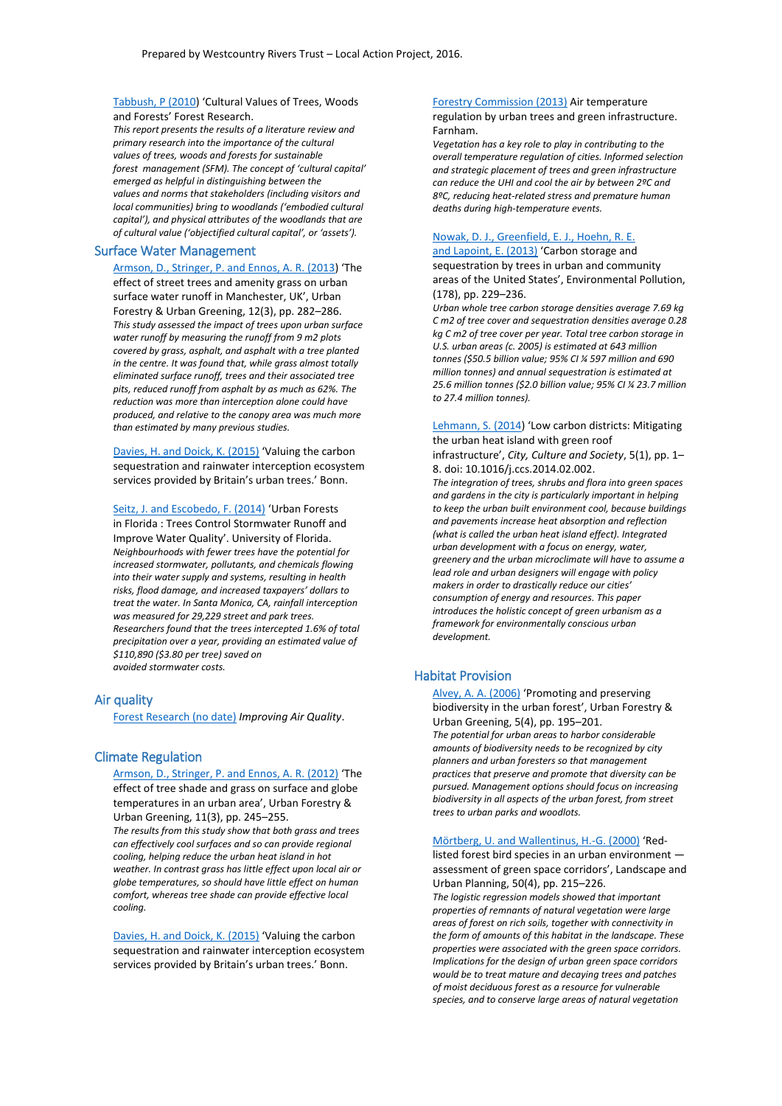[Tabbush, P \(2010\)](http://www.forestry.gov.uk/pdf/Cultural_value_woods_full_report_March2010.pdf/$FILE/Cultural_value_woods_full_report_March2010.pdf) 'Cultural Values of Trees, Woods and Forests' Forest Research.

*This report presents the results of a literature review and primary research into the importance of the cultural values of trees, woods and forests for sustainable forest management (SFM). The concept of 'cultural capital' emerged as helpful in distinguishing between the values and norms that stakeholders (including visitors and local communities) bring to woodlands ('embodied cultural capital'), and physical attributes of the woodlands that are of cultural value ('objectified cultural capital', or 'assets').*

#### Surface Water Management

[Armson, D., Stringer, P. and](http://www.sciencedirect.com/science/article/pii/S1618866713000460) Ennos, A. R. (2013) 'The effect of street trees and amenity grass on urban surface water runoff in Manchester, UK', Urban Forestry & Urban Greening, 12(3), pp. 282–286. *This study assessed the impact of trees upon urban surface water runoff by measuring the runoff from 9 m2 plots covered by grass, asphalt, and asphalt with a tree planted in the centre. It was found that, while grass almost totally eliminated surface runoff, trees and their associated tree pits, reduced runoff from asphalt by as much as 62%. The reduction was more than interception alone could have produced, and relative to the canopy area was much more than estimated by many previous studies.*

Davies, H. and [Doick, K. \(2015\)](https://www.bfn.de/fileadmin/BfN/klimawandel/Dokumente/ECBCC2015/2015-11-18/Session8/Davies_-_Valuing_the_C_seq_and_rainwater.pdf) 'Valuing the carbon sequestration and rainwater interception ecosystem services provided by Britain's urban trees.' Bonn.

[Seitz, J. and Escobedo, F. \(2014\)](https://edis.ifas.ufl.edu/fr239) 'Urban Forests in Florida : Trees Control Stormwater Runoff and Improve Water Quality'. University of Florida. *Neighbourhoods with fewer trees have the potential for increased stormwater, pollutants, and chemicals flowing into their water supply and systems, resulting in health risks, flood damage, and increased taxpayers' dollars to treat the water. In Santa Monica, CA, rainfall interception was measured for 29,229 street and park trees. Researchers found that the trees intercepted 1.6% of total precipitation over a year, providing an estimated value of \$110,890 (\$3.80 per tree) saved on avoided stormwater costs.*

#### Air quality

[Forest Research \(no date\)](http://www.forestry.gov.uk/pdf/urgp_evidence_note_006_Improving_air_quality.pdf/$FILE/urgp_evidence_note_006_Improving_air_quality.pdf) *Improving Air Quality*.

### Climate Regulation

[Armson, D., Stringer, P. and](http://www.sciencedirect.com/science/article/pii/S1618866712000611) Ennos, A. R. (2012) 'The effect of tree shade and grass on surface and globe temperatures in an urban area', Urban Forestry & Urban Greening, 11(3), pp. 245–255. *The results from this study show that both grass and trees can effectively cool surfaces and so can provide regional cooling, helping reduce the urban heat island in hot weather. In contrast grass has little effect upon local air or globe temperatures, so should have little effect on human comfort, whereas tree shade can provide effective local cooling.*

Davies, H. and [Doick, K. \(2015\)](https://www.bfn.de/fileadmin/BfN/klimawandel/Dokumente/ECBCC2015/2015-11-18/Session8/Davies_-_Valuing_the_C_seq_and_rainwater.pdf) 'Valuing the carbon sequestration and rainwater interception ecosystem services provided by Britain's urban trees.' Bonn.

[Forestry Commission \(2013\)](http://www.forestry.gov.uk/pdf/FCRN012.pdf/$FILE/FCRN012.pdf) Air temperature regulation by urban trees and green infrastructure. Farnham.

*Vegetation has a key role to play in contributing to the overall temperature regulation of cities. Informed selection and strategic placement of trees and green infrastructure can reduce the UHI and cool the air by between 2ºC and 8ºC, reducing heat-related stress and premature human deaths during high-temperature events.*

### [Nowak, D. J., Greenfield, E. J., Hoehn, R. E.](https://www.itreetools.org/eco/resources/nrs_2013_nowak_001.pdf)

and [Lapoint, E. \(2013\)](https://www.itreetools.org/eco/resources/nrs_2013_nowak_001.pdf) 'Carbon storage and sequestration by trees in urban and community areas of the United States', Environmental Pollution, (178), pp. 229–236.

*Urban whole tree carbon storage densities average 7.69 kg C m2 of tree cover and sequestration densities average 0.28 kg C m2 of tree cover per year. Total tree carbon storage in U.S. urban areas (c. 2005) is estimated at 643 million tonnes (\$50.5 billion value; 95% CI ¼ 597 million and 690 million tonnes) and annual sequestration is estimated at 25.6 million tonnes (\$2.0 billion value; 95% CI ¼ 23.7 million to 27.4 million tonnes).* 

[Lehmann, S. \(2014](http://www.sciencedirect.com/science/article/pii/S1877916614000046)) 'Low carbon districts: Mitigating the urban heat island with green roof infrastructure', *City, Culture and Society*, 5(1), pp. 1– 8. doi: 10.1016/j.ccs.2014.02.002.

*The integration of trees, shrubs and flora into green spaces and gardens in the city is particularly important in helping to keep the urban built environment cool, because buildings and pavements increase heat absorption and reflection (what is called the urban heat island effect). Integrated urban development with a focus on energy, water, greenery and the urban microclimate will have to assume a lead role and urban designers will engage with policy makers in order to drastically reduce our cities' consumption of energy and resources. This paper introduces the holistic concept of green urbanism as a framework for environmentally conscious urban development.*

#### Habitat Provision

[Alvey, A. A. \(2006\)](http://www.sciencedirect.com/science/article/pii/S1618866706000732) 'Promoting and preserving biodiversity in the urban forest', Urban Forestry & Urban Greening, 5(4), pp. 195–201. *The potential for urban areas to harbor considerable amounts of biodiversity needs to be recognized by city planners and urban foresters so that management practices that preserve and promote that diversity can be pursued. Management options should focus on increasing biodiversity in all aspects of the urban forest, from street trees to urban parks and woodlots.*

Mörtberg, U. and [Wallentinus, H.-G. \(2000\)](http://www.sciencedirect.com/science/article/pii/S0169204600000906) 'Red-

listed forest bird species in an urban environment assessment of green space corridors', Landscape and Urban Planning, 50(4), pp. 215–226.

*The logistic regression models showed that important properties of remnants of natural vegetation were large areas of forest on rich soils, together with connectivity in the form of amounts of this habitat in the landscape. These properties were associated with the green space corridors. Implications for the design of urban green space corridors would be to treat mature and decaying trees and patches of moist deciduous forest as a resource for vulnerable species, and to conserve large areas of natural vegetation*